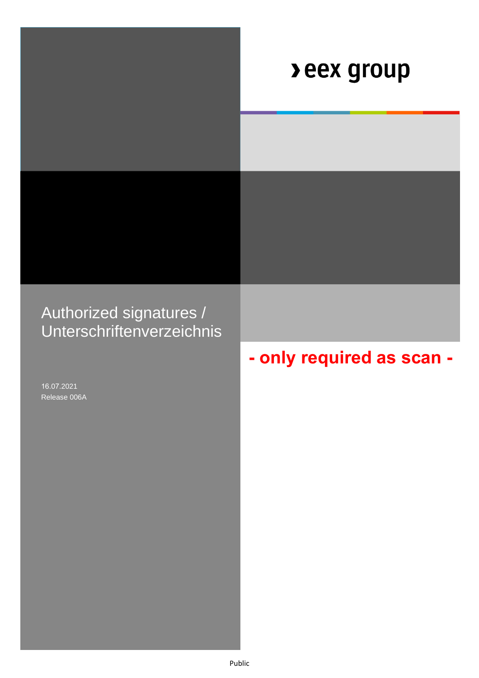|                                                      | <b>Deex group</b>         |
|------------------------------------------------------|---------------------------|
|                                                      |                           |
|                                                      |                           |
| Authorized signatures /<br>Unterschriftenverzeichnis |                           |
|                                                      | - only required as scan - |
| 16.07.2021<br>Release 006A                           |                           |
|                                                      |                           |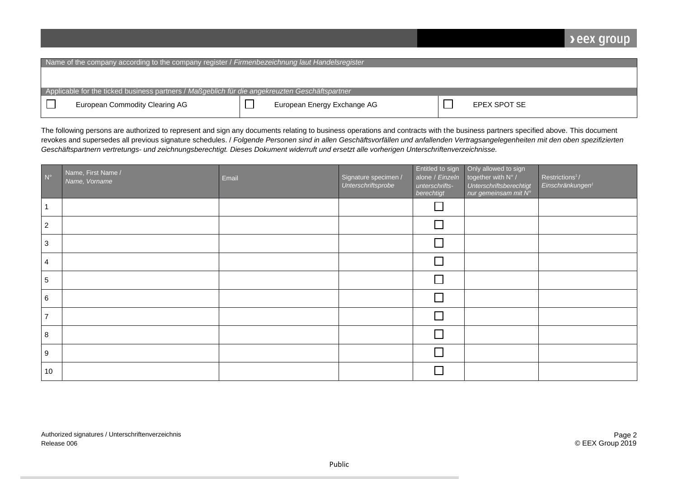## **Deex group**

| Name of the company according to the company register / Firmenbezeichnung laut Handelsregister |                                                                                                |  |                             |  |              |  |
|------------------------------------------------------------------------------------------------|------------------------------------------------------------------------------------------------|--|-----------------------------|--|--------------|--|
|                                                                                                |                                                                                                |  |                             |  |              |  |
|                                                                                                |                                                                                                |  |                             |  |              |  |
|                                                                                                | Applicable for the ticked business partners / Maßgeblich für die angekreuzten Geschäftspartner |  |                             |  |              |  |
|                                                                                                | European Commodity Clearing AG                                                                 |  | European Energy Exchange AG |  | EPEX SPOT SE |  |

The following persons are authorized to represent and sign any documents relating to business operations and contracts with the business partners specified above. This document revokes and supersedes all previous signature schedules. / *Folgende Personen sind in allen Geschäftsvorfällen und anfallenden Vertragsangelegenheiten mit den oben spezifizierten Geschäftspartnern vertretungs- und zeichnungsberechtigt. Dieses Dokument widerruft und ersetzt alle vorherigen Unterschriftenverzeichnisse.*

| $N^{\circ}$    | Name, First Name /<br>Name, Vorname | Email | Signature specimen /<br>Unterschriftsprobe | Entitled to sign<br>alone / Einzeln<br>unterschrifts-<br>berechtigt | Only allowed to sign<br>together with N° /<br>Unterschriftsberechtigt | Restrictions <sup>1</sup> /<br>Einschränkungen <sup>1</sup> |
|----------------|-------------------------------------|-------|--------------------------------------------|---------------------------------------------------------------------|-----------------------------------------------------------------------|-------------------------------------------------------------|
|                |                                     |       |                                            |                                                                     |                                                                       |                                                             |
| $\overline{2}$ |                                     |       |                                            | $\Box$                                                              |                                                                       |                                                             |
| $\mathbf{3}$   |                                     |       |                                            |                                                                     |                                                                       |                                                             |
| 4              |                                     |       |                                            | П                                                                   |                                                                       |                                                             |
| 5              |                                     |       |                                            | $\Box$                                                              |                                                                       |                                                             |
| 6              |                                     |       |                                            |                                                                     |                                                                       |                                                             |
| $\overline{7}$ |                                     |       |                                            |                                                                     |                                                                       |                                                             |
| 8              |                                     |       |                                            | $\Box$                                                              |                                                                       |                                                             |
| 9              |                                     |       |                                            | $\Box$                                                              |                                                                       |                                                             |
| 10             |                                     |       |                                            |                                                                     |                                                                       |                                                             |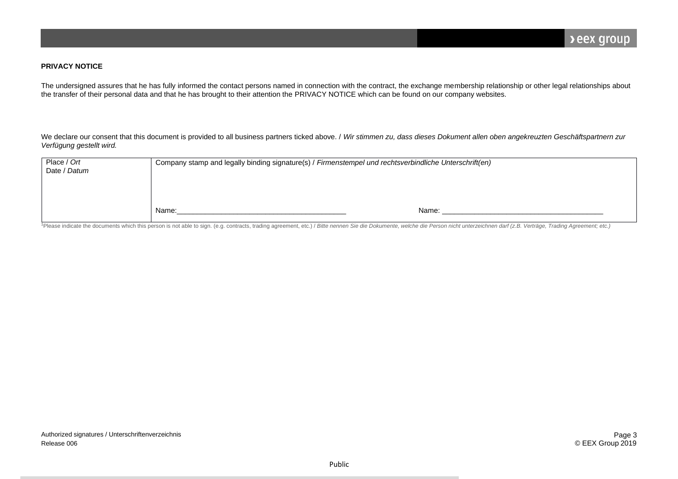## **PRIVACY NOTICE**

The undersigned assures that he has fully informed the contact persons named in connection with the contract, the exchange membership relationship or other legal relationships about the transfer of their personal data and that he has brought to their attention the PRIVACY NOTICE which can be found on our company websites.

We declare our consent that this document is provided to all business partners ticked above. / Wir stimmen zu, dass dieses Dokument allen oben angekreuzten Geschäftspartnern zur *Verfügung gestellt wird.*

| Place / Ort<br>Date / Datum | Company stamp and legally binding signature(s) / Firmenstempel und rechtsverbindliche Unterschrift(en) |       |  |  |
|-----------------------------|--------------------------------------------------------------------------------------------------------|-------|--|--|
|                             | Name:                                                                                                  | Name: |  |  |

<sup>1</sup>Please indicate the documents which this person is not able to sign. (e.g. contracts, trading agreement, etc.) / Bitte nennen Sie die Dokumente, welche die Person nicht unterzeichnen darf (z.B. Verträge, Trading Agreeme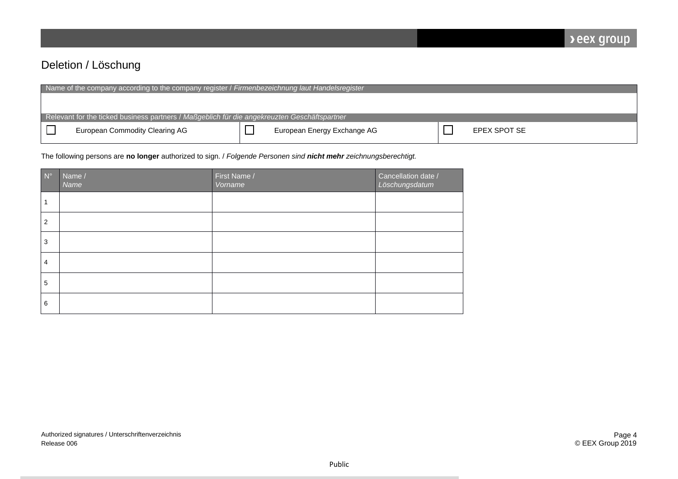## Deletion / Löschung

| Name of the company according to the company register / Firmenbezeichnung laut Handelsregister |                                                                                              |  |                             |  |              |
|------------------------------------------------------------------------------------------------|----------------------------------------------------------------------------------------------|--|-----------------------------|--|--------------|
|                                                                                                |                                                                                              |  |                             |  |              |
|                                                                                                |                                                                                              |  |                             |  |              |
|                                                                                                | Relevant for the ticked business partners / Maßgeblich für die angekreuzten Geschäftspartner |  |                             |  |              |
|                                                                                                | <b>European Commodity Clearing AG</b>                                                        |  | European Energy Exchange AG |  | EPEX SPOT SE |

The following persons are **no longer** authorized to sign. / *Folgende Personen sind nicht mehr zeichnungsberechtigt.*

| $N^{\circ}$ | Name /<br>Name | First Name /<br>Vorname | Cancellation date /<br>Löschungsdatum |
|-------------|----------------|-------------------------|---------------------------------------|
|             |                |                         |                                       |
| 2           |                |                         |                                       |
| 3           |                |                         |                                       |
| 4           |                |                         |                                       |
| 5           |                |                         |                                       |
| 6           |                |                         |                                       |